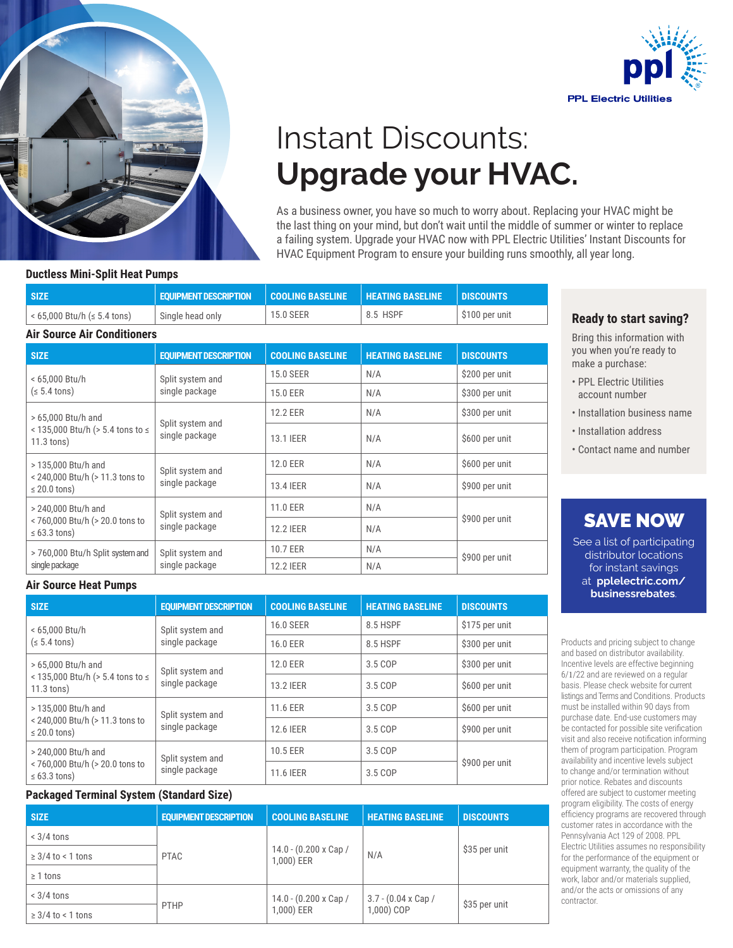



# Instant Discounts: **Upgrade your HVAC.**

As a business owner, you have so much to worry about. Replacing your HVAC might be the last thing on your mind, but don't wait until the middle of summer or winter to replace a failing system. Upgrade your HVAC now with PPL Electric Utilities' Instant Discounts for HVAC Equipment Program to ensure your building runs smoothly, all year long.

#### **Ductless Mini-Split Heat Pumps**

| <b>SIZE</b>                                     | <b>EQUIPMENT DESCRIPTION</b> | <b>I</b>   COOLING BASELINE ' | <b>HEATING BASELINE</b> | <b>IDISCOUNTS</b> |
|-------------------------------------------------|------------------------------|-------------------------------|-------------------------|-------------------|
| $\frac{1}{1}$ < 65,000 Btu/h ( $\leq$ 5.4 tons) | Single head only             | 15.0 SEER                     | 8.5 HSPF                | S100 per unit     |
| <b>Air Source Air Conditioners</b>              |                              |                               |                         |                   |

| <b>SIZE</b>                                                                 | <b>EQUIPMENT DESCRIPTION</b>       | <b>COOLING BASELINE</b> | <b>HEATING BASELINE</b> | <b>DISCOUNTS</b> |
|-----------------------------------------------------------------------------|------------------------------------|-------------------------|-------------------------|------------------|
| < 65,000 Btu/h<br>(s 5.4 tons)                                              | Split system and<br>single package | <b>15.0 SEER</b>        | N/A                     | \$200 per unit   |
|                                                                             |                                    | 15.0 EER                | N/A                     | \$300 per unit   |
| > 65,000 Btu/h and<br>< 135,000 Btu/h (> 5.4 tons to ≤<br>$11.3$ tons)      | Split system and<br>single package | 12.2 EER                | N/A                     | \$300 per unit   |
|                                                                             |                                    | 13.1 IEER               | N/A                     | \$600 per unit   |
| > 135,000 Btu/h and<br>< 240,000 Btu/h (> 11.3 tons to<br>$\leq$ 20.0 tons) | Split system and<br>single package | 12.0 EER                | N/A                     | \$600 per unit   |
|                                                                             |                                    | 13.4 IEER               | N/A                     | \$900 per unit   |
| > 240,000 Btu/h and<br>< 760,000 Btu/h (> 20.0 tons to<br>$\leq 63.3$ tons) | Split system and<br>single package | 11.0 EER                | N/A                     | \$900 per unit   |
|                                                                             |                                    | <b>12.2 IEER</b>        | N/A                     |                  |
| > 760,000 Btu/h Split system and<br>single package                          | Split system and<br>single package | 10.7 EER                | N/A                     | \$900 per unit   |
|                                                                             |                                    | <b>12.2 IEER</b>        | N/A                     |                  |

### **Ready to start saving?**

Bring this information with you when you're ready to make a purchase:

- PPL Electric Utilities account number
- Installation business name
- Installation address
- Contact name and number

## SAVE NOW

See a list of participating distributor locations for instant savings at **pplelectric.com/ businessrebates**.

Products and pricing subject to change and based on distributor availability. Incentive levels are effective beginning 6/1/22 and are reviewed on a regular basis. Please check website for current listings and Terms and Conditions. Products must be installed within 90 days from purchase date. End-use customers may be contacted for possible site verification visit and also receive notification informing them of program participation. Program availability and incentive levels subject to change and/or termination without prior notice. Rebates and discounts offered are subject to customer meeting program eligibility. The costs of energy efficiency programs are recovered through customer rates in accordance with the Pennsylvania Act 129 of 2008. PPL Electric Utilities assumes no responsibility for the performance of the equipment or equipment warranty, the quality of the work, labor and/or materials supplied, and/or the acts or omissions of any contractor.

### **Air Source Heat Pumps**

| <b>SIZE</b>                                                                 | <b>EQUIPMENT DESCRIPTION</b>       | <b>COOLING BASELINE</b> | <b>HEATING BASELINE</b> | <b>DISCOUNTS</b> |
|-----------------------------------------------------------------------------|------------------------------------|-------------------------|-------------------------|------------------|
| < 65,000 Btu/h<br>(s 5.4 tons)                                              | Split system and<br>single package | 16.0 SEER               | 8.5 HSPF                | \$175 per unit   |
|                                                                             |                                    | 16.0 EER                | 8.5 HSPF                | \$300 per unit   |
| > 65,000 Btu/h and<br>< 135,000 Btu/h (> 5.4 tons to ≤<br>$11.3$ tons)      | Split system and<br>single package | 12.0 EER                | 3.5 COP                 | \$300 per unit   |
|                                                                             |                                    | 13.2 IEER               | 3.5 COP                 | \$600 per unit   |
| > 135,000 Btu/h and<br>< 240,000 Btu/h (> 11.3 tons to<br>$\leq$ 20.0 tons) | Split system and<br>single package | 11.6 EER                | 3.5 COP                 | \$600 per unit   |
|                                                                             |                                    | 12.6 IEER               | 3.5 COP                 | \$900 per unit   |
| > 240,000 Btu/h and<br>< 760,000 Btu/h (> 20.0 tons to<br>$\leq 63.3$ tons) | Split system and<br>single package | 10.5 EER                | 3.5 COP                 | \$900 per unit   |
|                                                                             |                                    | 11.6 IEER               | 3.5 COP                 |                  |

### **Packaged Terminal System (Standard Size)**

| <b>SIZE</b>            | <b>EQUIPMENT DESCRIPTION</b> | <b>COOLING BASELINE</b>                   | <b>HEATING BASELINE</b>                 | <b>DISCOUNTS</b> |
|------------------------|------------------------------|-------------------------------------------|-----------------------------------------|------------------|
| $< 3/4$ tons           |                              |                                           |                                         |                  |
| $\geq$ 3/4 to < 1 tons | <b>PTAC</b>                  | 14.0 - (0.200 x Cap /<br>1,000) EER       | N/A                                     | \$35 per unit    |
| $\geq 1$ tons          |                              |                                           |                                         |                  |
| $< 3/4$ tons           | PTHP                         | $14.0 - (0.200 \times Cap)$<br>1,000) EER | $3.7 - (0.04 \times Cap)$<br>1,000) COP | \$35 per unit    |
| $\geq$ 3/4 to < 1 tons |                              |                                           |                                         |                  |